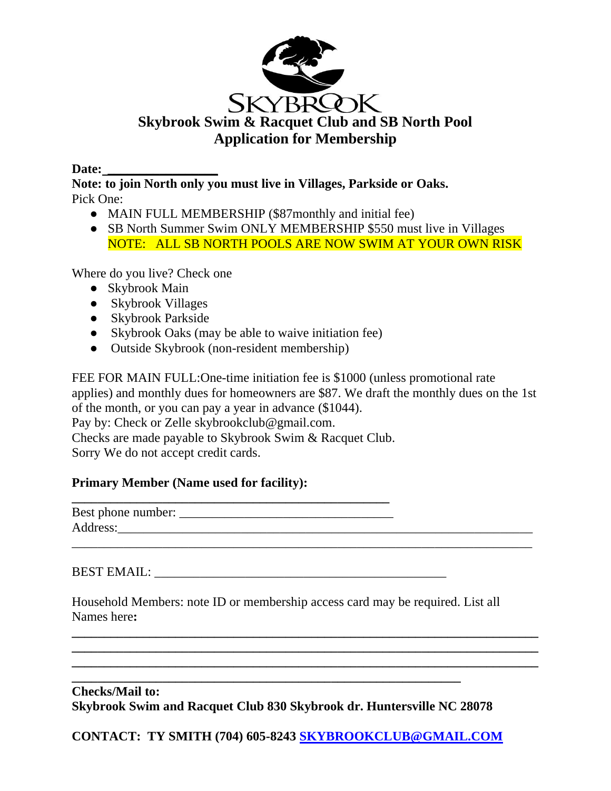

#### **Date: \_\_\_\_\_\_\_\_\_\_\_\_\_\_\_\_\_**

**Note: to join North only you must live in Villages, Parkside or Oaks.**  Pick One:

- MAIN FULL MEMBERSHIP (\$87monthly and initial fee)
- SB North Summer Swim ONLY MEMBERSHIP \$550 must live in Villages NOTE: ALL SB NORTH POOLS ARE NOW SWIM AT YOUR OWN RISK

Where do you live? Check one

- Skybrook Main
- Skybrook Villages
- Skybrook Parkside
- Skybrook Oaks (may be able to waive initiation fee)
- Outside Skybrook (non-resident membership)

FEE FOR MAIN FULL:One-time initiation fee is \$1000 (unless promotional rate applies) and monthly dues for homeowners are \$87. We draft the monthly dues on the 1st of the month, or you can pay a year in advance (\$1044). Pay by: Check or Zelle skybrookclub@gmail.com. Checks are made payable to Skybrook Swim & Racquet Club. Sorry We do not accept credit cards.

### **Primary Member (Name used for facility):**

| Best phone number: |  |
|--------------------|--|
| Address:           |  |
|                    |  |

BEST EMAIL: \_\_\_\_\_\_\_\_\_\_\_\_\_\_\_\_\_\_\_\_\_\_\_\_\_\_\_\_\_\_\_\_\_\_\_\_\_\_\_\_\_\_\_\_\_

Household Members: note ID or membership access card may be required. List all Names here**:** 

**\_\_\_\_\_\_\_\_\_\_\_\_\_\_\_\_\_\_\_\_\_\_\_\_\_\_\_\_\_\_\_\_\_\_\_\_\_\_\_\_\_\_\_\_\_\_\_\_\_\_\_\_\_\_\_\_\_\_\_\_\_\_\_\_\_\_\_\_\_\_\_\_ \_\_\_\_\_\_\_\_\_\_\_\_\_\_\_\_\_\_\_\_\_\_\_\_\_\_\_\_\_\_\_\_\_\_\_\_\_\_\_\_\_\_\_\_\_\_\_\_\_\_\_\_\_\_\_\_\_\_\_\_\_\_\_\_\_\_\_\_\_\_\_\_ \_\_\_\_\_\_\_\_\_\_\_\_\_\_\_\_\_\_\_\_\_\_\_\_\_\_\_\_\_\_\_\_\_\_\_\_\_\_\_\_\_\_\_\_\_\_\_\_\_\_\_\_\_\_\_\_\_\_\_\_\_\_\_\_\_\_\_\_\_\_\_\_**

# **Checks/Mail to: Skybrook Swim and Racquet Club 830 Skybrook dr. Huntersville NC 28078**

**\_\_\_\_\_\_\_\_\_\_\_\_\_\_\_\_\_\_\_\_\_\_\_\_\_\_\_\_\_\_\_\_\_\_\_\_\_\_\_\_\_\_\_\_\_\_\_\_\_\_\_\_\_\_\_\_\_\_\_\_**

**CONTACT: TY SMITH (704) 605-8243 [SKYBROOKCLUB@GMAIL.COM](mailto:SKYBROOKCLUB@GMAIL.COM)**